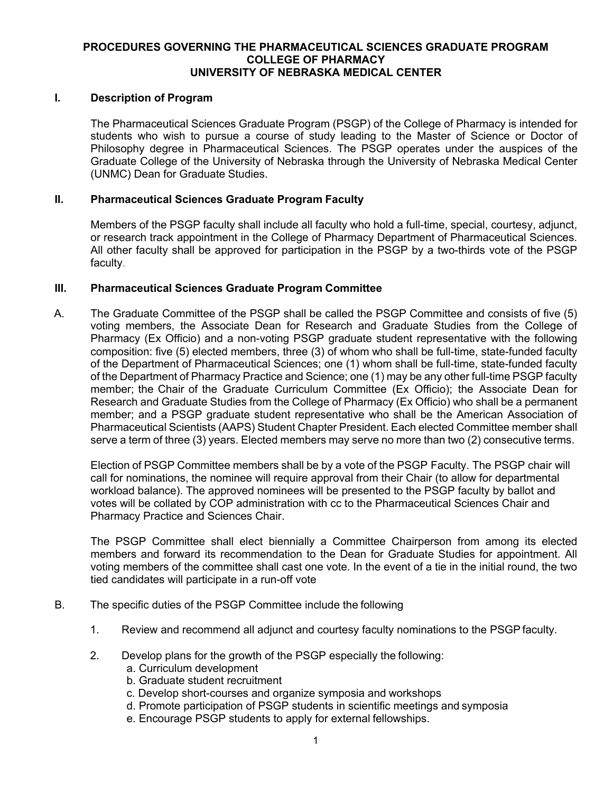### **PROCEDURES GOVERNING THE PHARMACEUTICAL SCIENCES GRADUATE PROGRAM COLLEGE OF PHARMACY UNIVERSITY OF NEBRASKA MEDICAL CENTER**

### **I. Description of Program**

The Pharmaceutical Sciences Graduate Program (PSGP) of the College of Pharmacy is intended for students who wish to pursue a course of study leading to the Master of Science or Doctor of Philosophy degree in Pharmaceutical Sciences. The PSGP operates under the auspices of the Graduate College of the University of Nebraska through the University of Nebraska Medical Center (UNMC) Dean for Graduate Studies.

### **II. Pharmaceutical Sciences Graduate Program Faculty**

Members of the PSGP faculty shall include all faculty who hold a full-time, special, courtesy, adjunct, or research track appointment in the College of Pharmacy Department of Pharmaceutical Sciences. All other faculty shall be approved for participation in the PSGP by a two-thirds vote of the PSGP faculty.

### **III. Pharmaceutical Sciences Graduate Program Committee**

A. The Graduate Committee of the PSGP shall be called the PSGP Committee and consists of five (5) voting members, the Associate Dean for Research and Graduate Studies from the College of Pharmacy (Ex Officio) and a non-voting PSGP graduate student representative with the following composition: five (5) elected members, three (3) of whom who shall be full-time, state-funded faculty of the Department of Pharmaceutical Sciences; one (1) whom shall be full-time, state-funded faculty of the Department of Pharmacy Practice and Science; one (1) may be any other full-time PSGP faculty member; the Chair of the Graduate Curriculum Committee (Ex Officio); the Associate Dean for Research and Graduate Studies from the College of Pharmacy (Ex Officio) who shall be a permanent member; and a PSGP graduate student representative who shall be the American Association of Pharmaceutical Scientists (AAPS) Student Chapter President. Each elected Committee member shall serve a term of three (3) years. Elected members may serve no more than two (2) consecutive terms.

Election of PSGP Committee members shall be by a vote of the PSGP Faculty. The PSGP chair will call for nominations, the nominee will require approval from their Chair (to allow for departmental workload balance). The approved nominees will be presented to the PSGP faculty by ballot and votes will be collated by COP administration with cc to the Pharmaceutical Sciences Chair and Pharmacy Practice and Sciences Chair.

The PSGP Committee shall elect biennially a Committee Chairperson from among its elected members and forward its recommendation to the Dean for Graduate Studies for appointment. All voting members of the committee shall cast one vote. In the event of a tie in the initial round, the two tied candidates will participate in a run-off vote

- B. The specific duties of the PSGP Committee include the following
	- 1. Review and recommend all adjunct and courtesy faculty nominations to the PSGP faculty.
	- 2. Develop plans for the growth of the PSGP especially the following:
		- a. Curriculum development
		- b. Graduate student recruitment
		- c. Develop short-courses and organize symposia and workshops
		- d. Promote participation of PSGP students in scientific meetings and symposia
		- e. Encourage PSGP students to apply for external fellowships.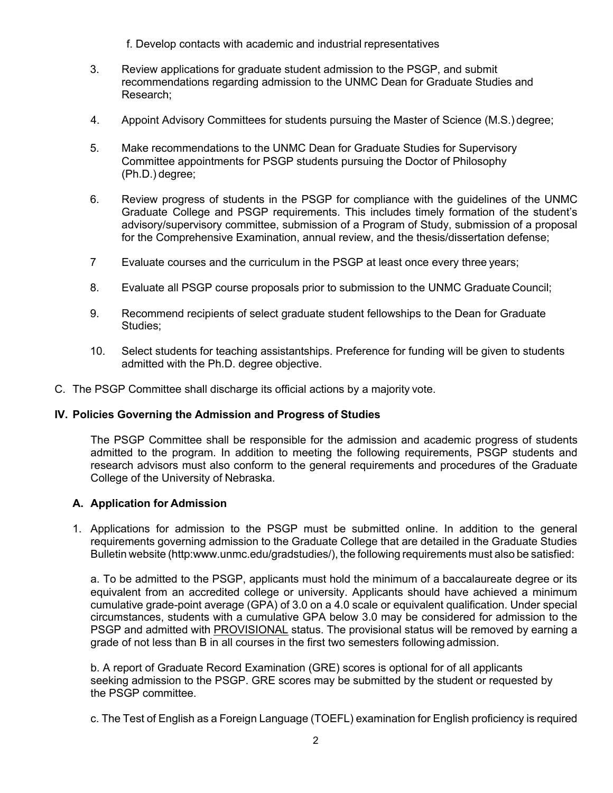f. Develop contacts with academic and industrial representatives

- 3. Review applications for graduate student admission to the PSGP, and submit recommendations regarding admission to the UNMC Dean for Graduate Studies and Research;
- 4. Appoint Advisory Committees for students pursuing the Master of Science (M.S.) degree;
- 5. Make recommendations to the UNMC Dean for Graduate Studies for Supervisory Committee appointments for PSGP students pursuing the Doctor of Philosophy (Ph.D.) degree;
- 6. Review progress of students in the PSGP for compliance with the guidelines of the UNMC Graduate College and PSGP requirements. This includes timely formation of the student's advisory/supervisory committee, submission of a Program of Study, submission of a proposal for the Comprehensive Examination, annual review, and the thesis/dissertation defense;
- 7 Evaluate courses and the curriculum in the PSGP at least once every three years;
- 8. Evaluate all PSGP course proposals prior to submission to the UNMC Graduate Council;
- 9. Recommend recipients of select graduate student fellowships to the Dean for Graduate Studies;
- 10. Select students for teaching assistantships. Preference for funding will be given to students admitted with the Ph.D. degree objective.
- C. The PSGP Committee shall discharge its official actions by a majority vote.

# **IV. Policies Governing the Admission and Progress of Studies**

The PSGP Committee shall be responsible for the admission and academic progress of students admitted to the program. In addition to meeting the following requirements, PSGP students and research advisors must also conform to the general requirements and procedures of the Graduate College of the University of Nebraska.

# **A. Application for Admission**

1. Applications for admission to the PSGP must be submitted online. In addition to the general requirements governing admission to the Graduate College that are detailed in the Graduate Studies Bulletin website (http:www.unmc.edu/gradstudies/), the following requirements must also be satisfied:

a. To be admitted to the PSGP, applicants must hold the minimum of a baccalaureate degree or its equivalent from an accredited college or university. Applicants should have achieved a minimum cumulative grade-point average (GPA) of 3.0 on a 4.0 scale or equivalent qualification. Under special circumstances, students with a cumulative GPA below 3.0 may be considered for admission to the PSGP and admitted with PROVISIONAL status. The provisional status will be removed by earning a grade of not less than B in all courses in the first two semesters following admission.

b. A report of Graduate Record Examination (GRE) scores is optional for of all applicants seeking admission to the PSGP. GRE scores may be submitted by the student or requested by the PSGP committee.

c. The Test of English as a Foreign Language (TOEFL) examination for English proficiency is required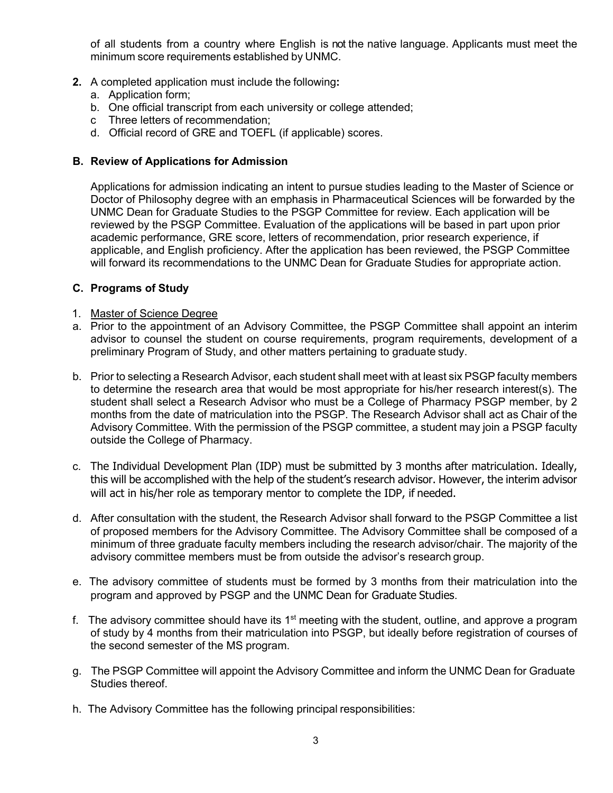of all students from a country where English is not the native language. Applicants must meet the minimum score requirements established by UNMC.

- **2.** A completed application must include the following**:**
	- a. Application form;
	- b. One official transcript from each university or college attended;
	- c Three letters of recommendation;
	- d. Official record of GRE and TOEFL (if applicable) scores.

### **B. Review of Applications for Admission**

Applications for admission indicating an intent to pursue studies leading to the Master of Science or Doctor of Philosophy degree with an emphasis in Pharmaceutical Sciences will be forwarded by the UNMC Dean for Graduate Studies to the PSGP Committee for review. Each application will be reviewed by the PSGP Committee. Evaluation of the applications will be based in part upon prior academic performance, GRE score, letters of recommendation, prior research experience, if applicable, and English proficiency. After the application has been reviewed, the PSGP Committee will forward its recommendations to the UNMC Dean for Graduate Studies for appropriate action.

# **C. Programs of Study**

- 1. Master of Science Degree
- a. Prior to the appointment of an Advisory Committee, the PSGP Committee shall appoint an interim advisor to counsel the student on course requirements, program requirements, development of a preliminary Program of Study, and other matters pertaining to graduate study.
- b. Prior to selecting a Research Advisor, each student shall meet with at least six PSGP faculty members to determine the research area that would be most appropriate for his/her research interest(s). The student shall select a Research Advisor who must be a College of Pharmacy PSGP member, by 2 months from the date of matriculation into the PSGP. The Research Advisor shall act as Chair of the Advisory Committee. With the permission of the PSGP committee, a student may join a PSGP faculty outside the College of Pharmacy.
- c. The Individual Development Plan (IDP) must be submitted by 3 months after matriculation. Ideally, this will be accomplished with the help of the student's research advisor. However, the interim advisor will act in his/her role as temporary mentor to complete the IDP, if needed.
- d. After consultation with the student, the Research Advisor shall forward to the PSGP Committee a list of proposed members for the Advisory Committee. The Advisory Committee shall be composed of a minimum of three graduate faculty members including the research advisor/chair. The majority of the advisory committee members must be from outside the advisor's research group.
- e. The advisory committee of students must be formed by 3 months from their matriculation into the program and approved by PSGP and the UNMC Dean for Graduate Studies.
- f. The advisory committee should have its  $1<sup>st</sup>$  meeting with the student, outline, and approve a program of study by 4 months from their matriculation into PSGP, but ideally before registration of courses of the second semester of the MS program.
- g. The PSGP Committee will appoint the Advisory Committee and inform the UNMC Dean for Graduate Studies thereof.
- h. The Advisory Committee has the following principal responsibilities: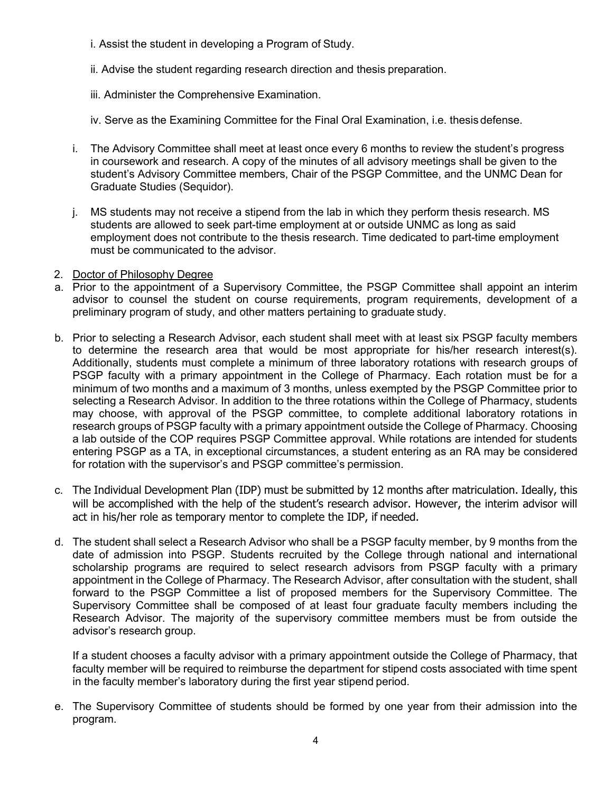- i. Assist the student in developing a Program of Study.
- ii. Advise the student regarding research direction and thesis preparation.
- iii. Administer the Comprehensive Examination.
- iv. Serve as the Examining Committee for the Final Oral Examination, i.e. thesis defense.
- i. The Advisory Committee shall meet at least once every 6 months to review the student's progress in coursework and research. A copy of the minutes of all advisory meetings shall be given to the student's Advisory Committee members, Chair of the PSGP Committee, and the UNMC Dean for Graduate Studies (Sequidor).
- j. MS students may not receive a stipend from the lab in which they perform thesis research. MS students are allowed to seek part-time employment at or outside UNMC as long as said employment does not contribute to the thesis research. Time dedicated to part-time employment must be communicated to the advisor.
- 2. Doctor of Philosophy Degree
- a. Prior to the appointment of a Supervisory Committee, the PSGP Committee shall appoint an interim advisor to counsel the student on course requirements, program requirements, development of a preliminary program of study, and other matters pertaining to graduate study.
- b. Prior to selecting a Research Advisor, each student shall meet with at least six PSGP faculty members to determine the research area that would be most appropriate for his/her research interest(s). Additionally, students must complete a minimum of three laboratory rotations with research groups of PSGP faculty with a primary appointment in the College of Pharmacy. Each rotation must be for a minimum of two months and a maximum of 3 months, unless exempted by the PSGP Committee prior to selecting a Research Advisor. In addition to the three rotations within the College of Pharmacy, students may choose, with approval of the PSGP committee, to complete additional laboratory rotations in research groups of PSGP faculty with a primary appointment outside the College of Pharmacy. Choosing a lab outside of the COP requires PSGP Committee approval. While rotations are intended for students entering PSGP as a TA, in exceptional circumstances, a student entering as an RA may be considered for rotation with the supervisor's and PSGP committee's permission.
- c. The Individual Development Plan (IDP) must be submitted by 12 months after matriculation. Ideally, this will be accomplished with the help of the student's research advisor. However, the interim advisor will act in his/her role as temporary mentor to complete the IDP, if needed.
- d. The student shall select a Research Advisor who shall be a PSGP faculty member, by 9 months from the date of admission into PSGP. Students recruited by the College through national and international scholarship programs are required to select research advisors from PSGP faculty with a primary appointment in the College of Pharmacy. The Research Advisor, after consultation with the student, shall forward to the PSGP Committee a list of proposed members for the Supervisory Committee. The Supervisory Committee shall be composed of at least four graduate faculty members including the Research Advisor. The majority of the supervisory committee members must be from outside the advisor's research group.

If a student chooses a faculty advisor with a primary appointment outside the College of Pharmacy, that faculty member will be required to reimburse the department for stipend costs associated with time spent in the faculty member's laboratory during the first year stipend period.

e. The Supervisory Committee of students should be formed by one year from their admission into the program.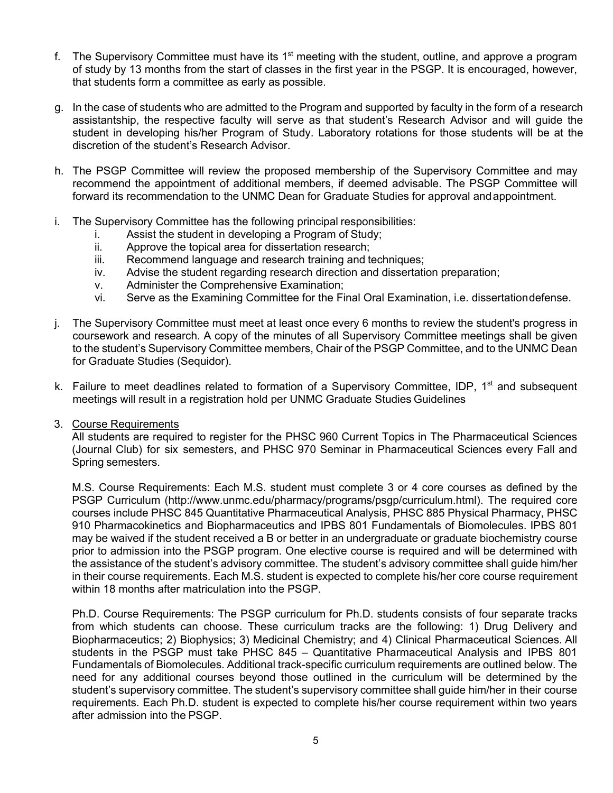- f. The Supervisory Committee must have its  $1<sup>st</sup>$  meeting with the student, outline, and approve a program of study by 13 months from the start of classes in the first year in the PSGP. It is encouraged, however, that students form a committee as early as possible.
- g. In the case of students who are admitted to the Program and supported by faculty in the form of a research assistantship, the respective faculty will serve as that student's Research Advisor and will guide the student in developing his/her Program of Study. Laboratory rotations for those students will be at the discretion of the student's Research Advisor.
- h. The PSGP Committee will review the proposed membership of the Supervisory Committee and may recommend the appointment of additional members, if deemed advisable. The PSGP Committee will forward its recommendation to the UNMC Dean for Graduate Studies for approval andappointment.
- i. The Supervisory Committee has the following principal responsibilities:
	- i. Assist the student in developing a Program of Study;
	- ii. Approve the topical area for dissertation research;
	- iii. Recommend language and research training and techniques;
	- iv. Advise the student regarding research direction and dissertation preparation;
	- v. Administer the Comprehensive Examination;
	- vi. Serve as the Examining Committee for the Final Oral Examination, i.e. dissertationdefense.
- j. The Supervisory Committee must meet at least once every 6 months to review the student's progress in coursework and research. A copy of the minutes of all Supervisory Committee meetings shall be given to the student's Supervisory Committee members, Chair of the PSGP Committee, and to the UNMC Dean for Graduate Studies (Sequidor).
- k. Failure to meet deadlines related to formation of a Supervisory Committee, IDP, 1<sup>st</sup> and subsequent meetings will result in a registration hold per UNMC Graduate Studies Guidelines
- 3. Course Requirements

All students are required to register for the PHSC 960 Current Topics in The Pharmaceutical Sciences (Journal Club) for six semesters, and PHSC 970 Seminar in Pharmaceutical Sciences every Fall and Spring semesters.

M.S. Course Requirements: Each M.S. student must complete 3 or 4 core courses as defined by the PSGP Curriculum (http://www.unmc.edu/pharmacy/programs/psgp/curriculum.html). The required core courses include PHSC 845 Quantitative Pharmaceutical Analysis, PHSC 885 Physical Pharmacy, PHSC 910 Pharmacokinetics and Biopharmaceutics and IPBS 801 Fundamentals of Biomolecules. IPBS 801 may be waived if the student received a B or better in an undergraduate or graduate biochemistry course prior to admission into the PSGP program. One elective course is required and will be determined with the assistance of the student's advisory committee. The student's advisory committee shall guide him/her in their course requirements. Each M.S. student is expected to complete his/her core course requirement within 18 months after matriculation into the PSGP.

Ph.D. Course Requirements: The PSGP curriculum for Ph.D. students consists of four separate tracks from which students can choose. These curriculum tracks are the following: 1) Drug Delivery and Biopharmaceutics; 2) Biophysics; 3) Medicinal Chemistry; and 4) Clinical Pharmaceutical Sciences. All students in the PSGP must take PHSC 845 – Quantitative Pharmaceutical Analysis and IPBS 801 Fundamentals of Biomolecules. Additional track-specific curriculum requirements are outlined below. The need for any additional courses beyond those outlined in the curriculum will be determined by the student's supervisory committee. The student's supervisory committee shall guide him/her in their course requirements. Each Ph.D. student is expected to complete his/her course requirement within two years after admission into the PSGP.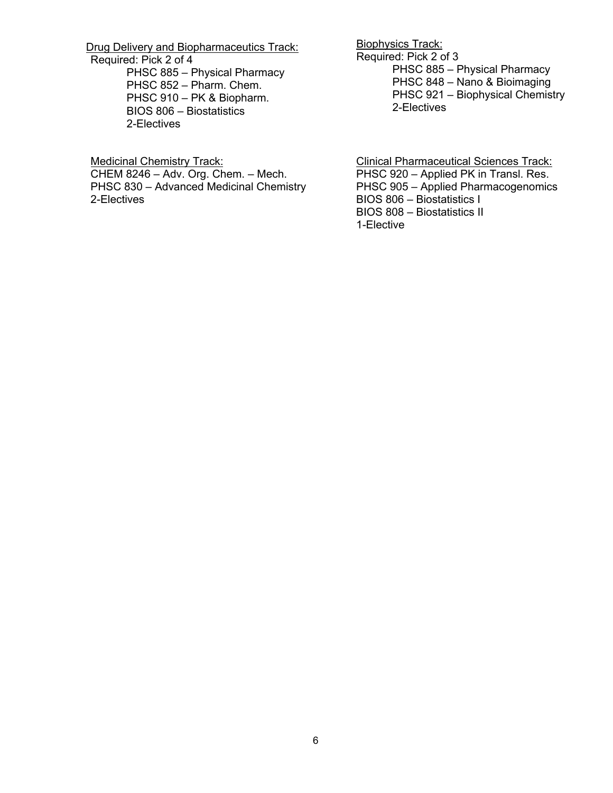Drug Delivery and Biopharmaceutics Track: Required: Pick 2 of 4

PHSC 885 – Physical Pharmacy PHSC 852 – Pharm. Chem. PHSC 910 – PK & Biopharm. BIOS 806 – Biostatistics 2-Electives

Medicinal Chemistry Track: CHEM 8246 – Adv. Org. Chem. – Mech.

PHSC 830 – Advanced Medicinal Chemistry 2-Electives

Biophysics Track: Required: Pick 2 of 3 PHSC 885 – Physical Pharmacy PHSC 848 – Nano & Bioimaging PHSC 921 – Biophysical Chemistry 2-Electives

Clinical Pharmaceutical Sciences Track: PHSC 920 – Applied PK in Transl. Res. PHSC 905 – Applied Pharmacogenomics BIOS 806 – Biostatistics I BIOS 808 – Biostatistics II 1-Elective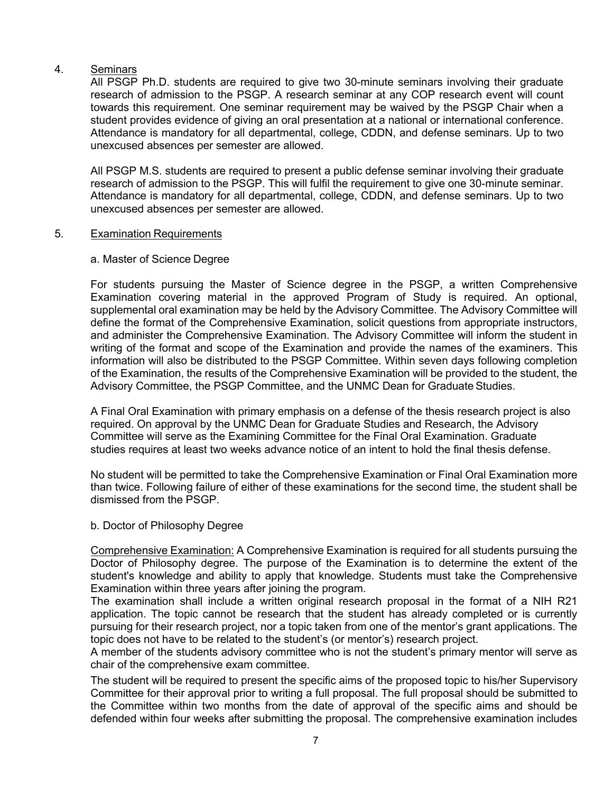# 4. Seminars

All PSGP Ph.D. students are required to give two 30-minute seminars involving their graduate research of admission to the PSGP. A research seminar at any COP research event will count towards this requirement. One seminar requirement may be waived by the PSGP Chair when a student provides evidence of giving an oral presentation at a national or international conference. Attendance is mandatory for all departmental, college, CDDN, and defense seminars. Up to two unexcused absences per semester are allowed.

All PSGP M.S. students are required to present a public defense seminar involving their graduate research of admission to the PSGP. This will fulfil the requirement to give one 30-minute seminar. Attendance is mandatory for all departmental, college, CDDN, and defense seminars. Up to two unexcused absences per semester are allowed.

### 5. Examination Requirements

### a. Master of Science Degree

For students pursuing the Master of Science degree in the PSGP, a written Comprehensive Examination covering material in the approved Program of Study is required. An optional, supplemental oral examination may be held by the Advisory Committee. The Advisory Committee will define the format of the Comprehensive Examination, solicit questions from appropriate instructors, and administer the Comprehensive Examination. The Advisory Committee will inform the student in writing of the format and scope of the Examination and provide the names of the examiners. This information will also be distributed to the PSGP Committee. Within seven days following completion of the Examination, the results of the Comprehensive Examination will be provided to the student, the Advisory Committee, the PSGP Committee, and the UNMC Dean for Graduate Studies.

A Final Oral Examination with primary emphasis on a defense of the thesis research project is also required. On approval by the UNMC Dean for Graduate Studies and Research, the Advisory Committee will serve as the Examining Committee for the Final Oral Examination. Graduate studies requires at least two weeks advance notice of an intent to hold the final thesis defense.

No student will be permitted to take the Comprehensive Examination or Final Oral Examination more than twice. Following failure of either of these examinations for the second time, the student shall be dismissed from the PSGP.

### b. Doctor of Philosophy Degree

Comprehensive Examination: A Comprehensive Examination is required for all students pursuing the Doctor of Philosophy degree. The purpose of the Examination is to determine the extent of the student's knowledge and ability to apply that knowledge. Students must take the Comprehensive Examination within three years after joining the program.

The examination shall include a written original research proposal in the format of a NIH R21 application. The topic cannot be research that the student has already completed or is currently pursuing for their research project, nor a topic taken from one of the mentor's grant applications. The topic does not have to be related to the student's (or mentor's) research project.

A member of the students advisory committee who is not the student's primary mentor will serve as chair of the comprehensive exam committee.

The student will be required to present the specific aims of the proposed topic to his/her Supervisory Committee for their approval prior to writing a full proposal. The full proposal should be submitted to the Committee within two months from the date of approval of the specific aims and should be defended within four weeks after submitting the proposal. The comprehensive examination includes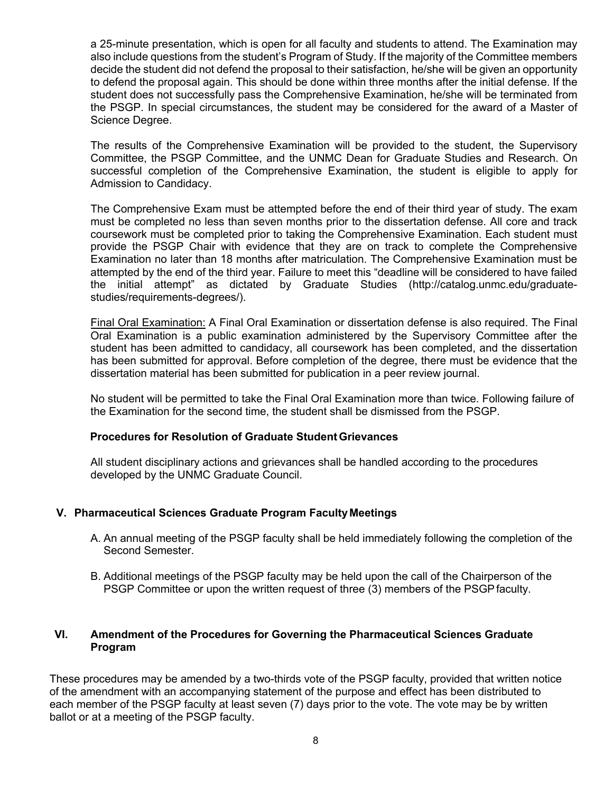a 25-minute presentation, which is open for all faculty and students to attend. The Examination may also include questions from the student's Program of Study. If the majority of the Committee members decide the student did not defend the proposal to their satisfaction, he/she will be given an opportunity to defend the proposal again. This should be done within three months after the initial defense. If the student does not successfully pass the Comprehensive Examination, he/she will be terminated from the PSGP. In special circumstances, the student may be considered for the award of a Master of Science Degree.

The results of the Comprehensive Examination will be provided to the student, the Supervisory Committee, the PSGP Committee, and the UNMC Dean for Graduate Studies and Research. On successful completion of the Comprehensive Examination, the student is eligible to apply for Admission to Candidacy.

The Comprehensive Exam must be attempted before the end of their third year of study. The exam must be completed no less than seven months prior to the dissertation defense. All core and track coursework must be completed prior to taking the Comprehensive Examination. Each student must provide the PSGP Chair with evidence that they are on track to complete the Comprehensive Examination no later than 18 months after matriculation. The Comprehensive Examination must be attempted by the end of the third year. Failure to meet this "deadline will be considered to have failed the initial attempt" as dictated by Graduate Studies (http://catalog.unmc.edu/graduatestudies/requirements-degrees/).

Final Oral Examination: A Final Oral Examination or dissertation defense is also required. The Final Oral Examination is a public examination administered by the Supervisory Committee after the student has been admitted to candidacy, all coursework has been completed, and the dissertation has been submitted for approval. Before completion of the degree, there must be evidence that the dissertation material has been submitted for publication in a peer review journal.

No student will be permitted to take the Final Oral Examination more than twice. Following failure of the Examination for the second time, the student shall be dismissed from the PSGP.

### **Procedures for Resolution of Graduate StudentGrievances**

All student disciplinary actions and grievances shall be handled according to the procedures developed by the UNMC Graduate Council.

# **V. Pharmaceutical Sciences Graduate Program FacultyMeetings**

- A. An annual meeting of the PSGP faculty shall be held immediately following the completion of the Second Semester.
- B. Additional meetings of the PSGP faculty may be held upon the call of the Chairperson of the PSGP Committee or upon the written request of three (3) members of the PSGPfaculty.

# **VI. Amendment of the Procedures for Governing the Pharmaceutical Sciences Graduate Program**

These procedures may be amended by a two-thirds vote of the PSGP faculty, provided that written notice of the amendment with an accompanying statement of the purpose and effect has been distributed to each member of the PSGP faculty at least seven (7) days prior to the vote. The vote may be by written ballot or at a meeting of the PSGP faculty.